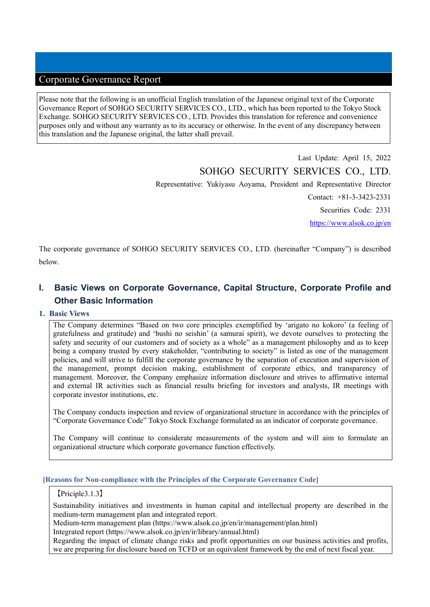# Corporate Governance Report

Please note that the following is an unofficial English translation of the Japanese original text of the Corporate Governance Report of SOHGO SECURITY SERVICES CO., LTD., which has been reported to the Tokyo Stock Exchange. SOHGO SECURITY SERVICES CO., LTD. Provides this translation for reference and convenience purposes only and without any warranty as to its accuracy or otherwise. In the event of any discrepancy between this translation and the Japanese original, the latter shall prevail.

> Last Update: April 15, 2022 SOHGO SECURITY SERVICES CO., LTD. Representative: Yukiyasu Aoyama, President and Representative Director Contact: +81-3-3423-2331 Securities Code: 2331 <https://www.alsok.co.jp/en>

The corporate governance of SOHGO SECURITY SERVICES CO., LTD. (hereinafter "Company") is described below.

# **I. Basic Views on Corporate Governance, Capital Structure, Corporate Profile and Other Basic Information**

#### **1. Basic Views**

The Company determines "Based on two core principles exemplified by 'arigato no kokoro' (a feeling of gratefulness and gratitude) and 'bushi no seishin' (a samurai spirit), we devote ourselves to protecting the safety and security of our customers and of society as a whole" as a management philosophy and as to keep being a company trusted by every stakeholder, "contributing to society" is listed as one of the management policies, and will strive to fulfill the corporate governance by the separation of execution and supervision of the management, prompt decision making, establishment of corporate ethics, and transparency of management. Moreover, the Company emphasize information disclosure and strives to affirmative internal and external IR activities such as financial results briefing for investors and analysts, IR meetings with corporate investor institutions, etc.

The Company conducts inspection and review of organizational structure in accordance with the principles of "Corporate Governance Code" Tokyo Stock Exchange formulated as an indicator of corporate governance.

The Company will continue to considerate measurements of the system and will aim to formulate an organizational structure which corporate governance function effectively.

#### **[Reasons for Non-compliance with the Principles of the Corporate Governance Code]**

#### 【Priciple3.1.3】

Sustainability initiatives and investments in human capital and intellectual property are described in the medium-term management plan and integrated report.

Medium-term management plan [\(https://www.alsok.co.jp/en/ir/management/plan.html\)](https://www.alsok.co.jp/en/ir/management/plan.html)

Integrated report [\(https://www.alsok.co.jp/en/ir/library/annual.html\)](https://www.alsok.co.jp/en/ir/library/annual.html)

Regarding the impact of climate change risks and profit opportunities on our business activities and profits, we are preparing for disclosure based on TCFD or an equivalent framework by the end of next fiscal year.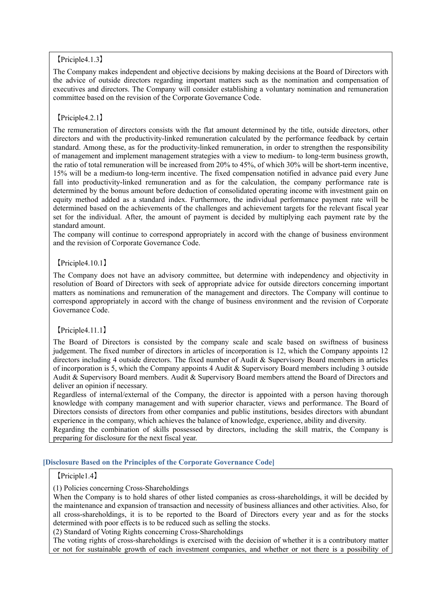### 【Priciple4.1.3】

The Company makes independent and objective decisions by making decisions at the Board of Directors with the advice of outside directors regarding important matters such as the nomination and compensation of executives and directors. The Company will consider establishing a voluntary nomination and remuneration committee based on the revision of the Corporate Governance Code.

## 【Priciple4.2.1】

The remuneration of directors consists with the flat amount determined by the title, outside directors, other directors and with the productivity-linked remuneration calculated by the performance feedback by certain standard. Among these, as for the productivity-linked remuneration, in order to strengthen the responsibility of management and implement management strategies with a view to medium- to long-term business growth, the ratio of total remuneration will be increased from 20% to 45%, of which 30% will be short-term incentive, 15% will be a medium-to long-term incentive. The fixed compensation notified in advance paid every June fall into productivity-linked remuneration and as for the calculation, the company performance rate is determined by the bonus amount before deduction of consolidated operating income with investment gain on equity method added as a standard index. Furthermore, the individual performance payment rate will be determined based on the achievements of the challenges and achievement targets for the relevant fiscal year set for the individual. After, the amount of payment is decided by multiplying each payment rate by the standard amount.

The company will continue to correspond appropriately in accord with the change of business environment and the revision of Corporate Governance Code.

## 【Priciple4.10.1】

The Company does not have an advisory committee, but determine with independency and objectivity in resolution of Board of Directors with seek of appropriate advice for outside directors concerning important matters as nominations and remuneration of the management and directors. The Company will continue to correspond appropriately in accord with the change of business environment and the revision of Corporate Governance Code.

## 【Priciple4.11.1】

The Board of Directors is consisted by the company scale and scale based on swiftness of business judgement. The fixed number of directors in articles of incorporation is 12, which the Company appoints 12 directors including 4 outside directors. The fixed number of Audit & Supervisory Board members in articles of incorporation is 5, which the Company appoints 4 Audit  $\&$  Supervisory Board members including 3 outside Audit & Supervisory Board members. Audit & Supervisory Board members attend the Board of Directors and deliver an opinion if necessary.

Regardless of internal/external of the Company, the director is appointed with a person having thorough knowledge with company management and with superior character, views and performance. The Board of Directors consists of directors from other companies and public institutions, besides directors with abundant experience in the company, which achieves the balance of knowledge, experience, ability and diversity.

Regarding the combination of skills possessed by directors, including the skill matrix, the Company is preparing for disclosure for the next fiscal year.

#### **[Disclosure Based on the Principles of the Corporate Governance Code]**

#### 【Priciple1.4】

(1) Policies concerning Cross-Shareholdings

When the Company is to hold shares of other listed companies as cross-shareholdings, it will be decided by the maintenance and expansion of transaction and necessity of business alliances and other activities. Also, for all cross-shareholdings, it is to be reported to the Board of Directors every year and as for the stocks determined with poor effects is to be reduced such as selling the stocks.

(2) Standard of Voting Rights concerning Cross-Shareholdings

The voting rights of cross-shareholdings is exercised with the decision of whether it is a contributory matter or not for sustainable growth of each investment companies, and whether or not there is a possibility of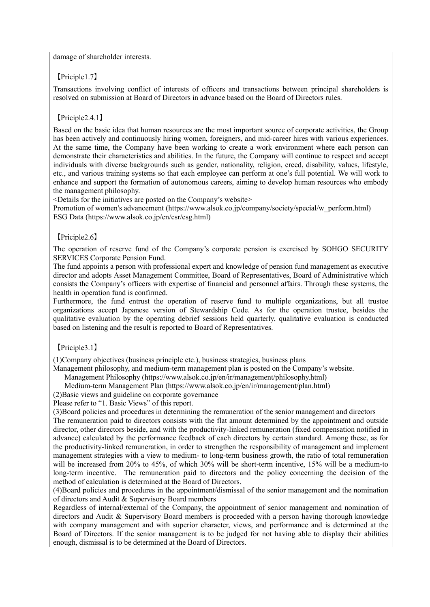damage of shareholder interests.

### 【Priciple1.7】

Transactions involving conflict of interests of officers and transactions between principal shareholders is resolved on submission at Board of Directors in advance based on the Board of Directors rules.

## 【Priciple2.4.1】

Based on the basic idea that human resources are the most important source of corporate activities, the Group has been actively and continuously hiring women, foreigners, and mid-career hires with various experiences. At the same time, the Company have been working to create a work environment where each person can demonstrate their characteristics and abilities. In the future, the Company will continue to respect and accept individuals with diverse backgrounds such as gender, nationality, religion, creed, disability, values, lifestyle, etc., and various training systems so that each employee can perform at one's full potential. We will work to enhance and support the formation of autonomous careers, aiming to develop human resources who embody the management philosophy.

<Details for the initiatives are posted on the Company's website>

Promotion of women's advancement [\(https://www.alsok.co.jp/company/society/special/w\\_perform.html\)](https://www.alsok.co.jp/company/society/special/w_perform.html) ESG Data (https://www.alsok.co.jp/en/csr/esg.html)

## 【Priciple2.6】

The operation of reserve fund of the Company's corporate pension is exercised by SOHGO SECURITY SERVICES Corporate Pension Fund.

The fund appoints a person with professional expert and knowledge of pension fund management as executive director and adopts Asset Management Committee, Board of Representatives, Board of Administrative which consists the Company's officers with expertise of financial and personnel affairs. Through these systems, the health in operation fund is confirmed.

Furthermore, the fund entrust the operation of reserve fund to multiple organizations, but all trustee organizations accept Japanese version of Stewardship Code. As for the operation trustee, besides the qualitative evaluation by the operating debrief sessions held quarterly, qualitative evaluation is conducted based on listening and the result is reported to Board of Representatives.

## 【Priciple3.1】

(1)Company objectives (business principle etc.), business strategies, business plans

Management philosophy, and medium-term management plan is posted on the Company's website.

Management Philosophy (https://www.alsok.co.jp/en/ir/management/philosophy.html)

Medium-term Management Plan (https://www.alsok.co.jp/en/ir/management/plan.html)

(2)Basic views and guideline on corporate governance

Please refer to "1. Basic Views" of this report.

(3)Board policies and procedures in determining the remuneration of the senior management and directors

The remuneration paid to directors consists with the flat amount determined by the appointment and outside director, other directors beside, and with the productivity-linked remuneration (fixed compensation notified in advance) calculated by the performance feedback of each directors by certain standard. Among these, as for the productivity-linked remuneration, in order to strengthen the responsibility of management and implement management strategies with a view to medium- to long-term business growth, the ratio of total remuneration will be increased from 20% to 45%, of which 30% will be short-term incentive, 15% will be a medium-to long-term incentive. The remuneration paid to directors and the policy concerning the decision of the method of calculation is determined at the Board of Directors.

(4)Board policies and procedures in the appointment/dismissal of the senior management and the nomination of directors and Audit & Supervisory Board members

Regardless of internal/external of the Company, the appointment of senior management and nomination of directors and Audit & Supervisory Board members is proceeded with a person having thorough knowledge with company management and with superior character, views, and performance and is determined at the Board of Directors. If the senior management is to be judged for not having able to display their abilities enough, dismissal is to be determined at the Board of Directors.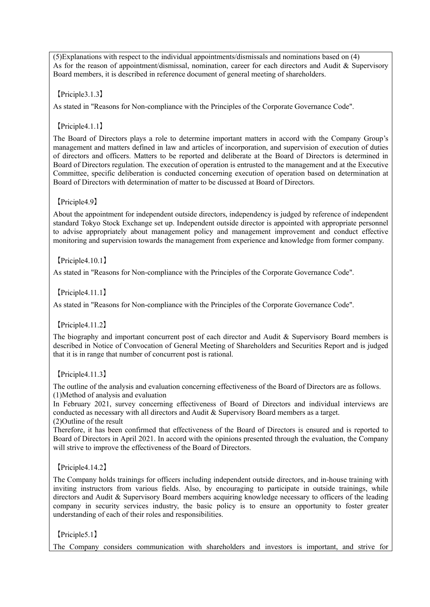(5)Explanations with respect to the individual appointments/dismissals and nominations based on (4) As for the reason of appointment/dismissal, nomination, career for each directors and Audit & Supervisory Board members, it is described in reference document of general meeting of shareholders.

【Priciple3.1.3】

As stated in "Reasons for Non-compliance with the Principles of the Corporate Governance Code".

【Priciple4.1.1】

The Board of Directors plays a role to determine important matters in accord with the Company Group's management and matters defined in law and articles of incorporation, and supervision of execution of duties of directors and officers. Matters to be reported and deliberate at the Board of Directors is determined in Board of Directors regulation. The execution of operation is entrusted to the management and at the Executive Committee, specific deliberation is conducted concerning execution of operation based on determination at Board of Directors with determination of matter to be discussed at Board of Directors.

# 【Priciple4.9】

About the appointment for independent outside directors, independency is judged by reference of independent standard Tokyo Stock Exchange set up. Independent outside director is appointed with appropriate personnel to advise appropriately about management policy and management improvement and conduct effective monitoring and supervision towards the management from experience and knowledge from former company.

【Priciple4.10.1】

As stated in "Reasons for Non-compliance with the Principles of the Corporate Governance Code".

【Priciple4.11.1】

As stated in "Reasons for Non-compliance with the Principles of the Corporate Governance Code".

【Priciple4.11.2】

The biography and important concurrent post of each director and Audit & Supervisory Board members is described in Notice of Convocation of General Meeting of Shareholders and Securities Report and is judged that it is in range that number of concurrent post is rational.

【Priciple4.11.3】

The outline of the analysis and evaluation concerning effectiveness of the Board of Directors are as follows. (1)Method of analysis and evaluation

In February 2021, survey concerning effectiveness of Board of Directors and individual interviews are conducted as necessary with all directors and Audit & Supervisory Board members as a target. (2)Outline of the result

Therefore, it has been confirmed that effectiveness of the Board of Directors is ensured and is reported to Board of Directors in April 2021. In accord with the opinions presented through the evaluation, the Company will strive to improve the effectiveness of the Board of Directors.

【Priciple4.14.2】

The Company holds trainings for officers including independent outside directors, and in-house training with inviting instructors from various fields. Also, by encouraging to participate in outside trainings, while directors and Audit & Supervisory Board members acquiring knowledge necessary to officers of the leading company in security services industry, the basic policy is to ensure an opportunity to foster greater understanding of each of their roles and responsibilities.

【Priciple5.1】

The Company considers communication with shareholders and investors is important, and strive for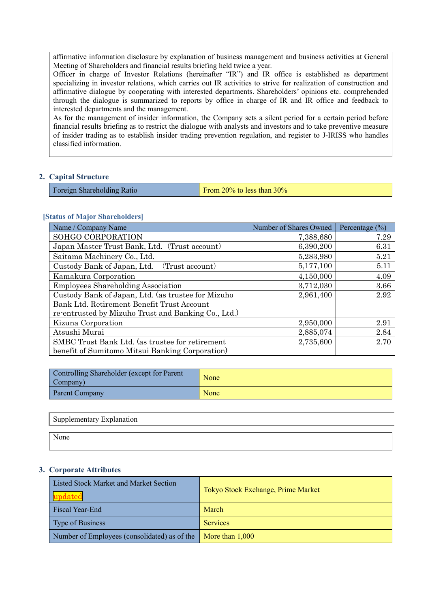affirmative information disclosure by explanation of business management and business activities at General Meeting of Shareholders and financial results briefing held twice a year.

Officer in charge of Investor Relations (hereinafter "IR") and IR office is established as department specializing in investor relations, which carries out IR activities to strive for realization of construction and affirmative dialogue by cooperating with interested departments. Shareholders' opinions etc. comprehended through the dialogue is summarized to reports by office in charge of IR and IR office and feedback to interested departments and the management.

As for the management of insider information, the Company sets a silent period for a certain period before financial results briefing as to restrict the dialogue with analysts and investors and to take preventive measure of insider trading as to establish insider trading prevention regulation, and register to J-IRISS who handles classified information.

#### **2. Capital Structure**

#### **[Status of Major Shareholders]**

| Name / Company Name                                 | Number of Shares Owned | Percentage $(\% )$ |
|-----------------------------------------------------|------------------------|--------------------|
| SOHGO CORPORATION                                   | 7,388,680              | 7.29               |
| Japan Master Trust Bank, Ltd. (Trust account)       | 6,390,200              | 6.31               |
| Saitama Machinery Co., Ltd.                         | 5,283,980              | 5.21               |
| Custody Bank of Japan, Ltd.<br>(Trust account)      | 5,177,100              | 5.11               |
| Kamakura Corporation                                | 4,150,000              | 4.09               |
| <b>Employees Shareholding Association</b>           | 3,712,030              | 3.66               |
| Custody Bank of Japan, Ltd. (as trustee for Mizuho  | 2,961,400              | 2.92               |
| Bank Ltd. Retirement Benefit Trust Account          |                        |                    |
| re-entrusted by Mizuho Trust and Banking Co., Ltd.) |                        |                    |
| Kizuna Corporation                                  | 2,950,000              | 2.91               |
| Atsushi Murai                                       | 2,885,074              | 2.84               |
| SMBC Trust Bank Ltd. (as trustee for retirement     | 2,735,600              | 2.70               |
| benefit of Sumitomo Mitsui Banking Corporation      |                        |                    |

| Controlling Shareholder (except for Parent<br>Company) | None |
|--------------------------------------------------------|------|
| <b>Parent Company</b>                                  | None |

#### Supplementary Explanation

None

#### **3. Corporate Attributes**

| Listed Stock Market and Market Section<br>updated              | Tokyo Stock Exchange, Prime Market |
|----------------------------------------------------------------|------------------------------------|
| Fiscal Year-End                                                | March                              |
| Type of Business                                               | <b>Services</b>                    |
| Number of Employees (consolidated) as of the   More than 1,000 |                                    |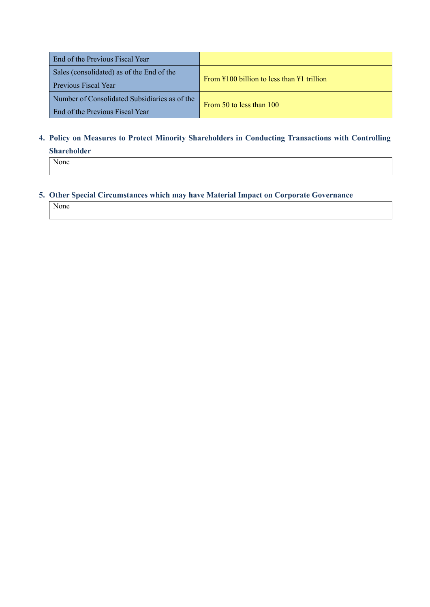| End of the Previous Fiscal Year                                          |                                                                |
|--------------------------------------------------------------------------|----------------------------------------------------------------|
| Sales (consolidated) as of the End of the<br><b>Previous Fiscal Year</b> | From $\text{\#}100$ billion to less than $\text{\#}1$ trillion |
| Number of Consolidated Subsidiaries as of the                            |                                                                |
| End of the Previous Fiscal Year                                          | From 50 to less than 100                                       |

# **4. Policy on Measures to Protect Minority Shareholders in Conducting Transactions with Controlling Shareholder**

None

# **5. Other Special Circumstances which may have Material Impact on Corporate Governance**

None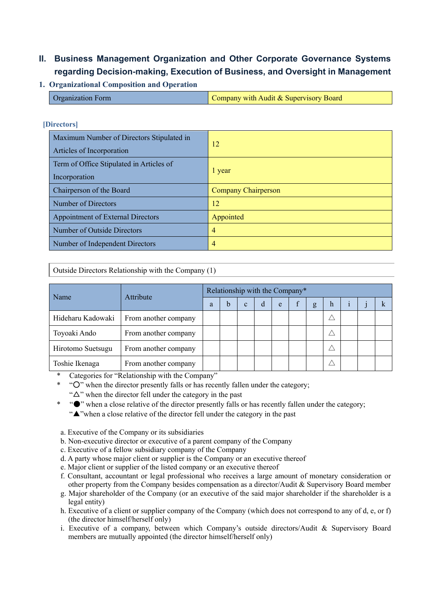# **II. Business Management Organization and Other Corporate Governance Systems regarding Decision-making, Execution of Business, and Oversight in Management**

# **1. Organizational Composition and Operation**

| <b>Organization Form</b> | Company with Audit & Supervisory Board |
|--------------------------|----------------------------------------|
|--------------------------|----------------------------------------|

### **[Directors]**

| Maximum Number of Directors Stipulated in<br>Articles of Incorporation | 12                         |
|------------------------------------------------------------------------|----------------------------|
| Term of Office Stipulated in Articles of<br>Incorporation              | 1 year                     |
| Chairperson of the Board                                               | <b>Company Chairperson</b> |
| Number of Directors                                                    | 12                         |
| Appointment of External Directors                                      | Appointed                  |
| Number of Outside Directors                                            | 4                          |
| Number of Independent Directors                                        | 4                          |

Outside Directors Relationship with the Company (1)

| Name              | Attribute            | Relationship with the Company* |   |              |   |   |  |   |   |  |  |
|-------------------|----------------------|--------------------------------|---|--------------|---|---|--|---|---|--|--|
|                   |                      | a                              | h | $\mathbf{C}$ | d | e |  | g | h |  |  |
| Hideharu Kadowaki | From another company |                                |   |              |   |   |  |   |   |  |  |
| Toyoaki Ando      | From another company |                                |   |              |   |   |  |   |   |  |  |
| Hirotomo Suetsugu | From another company |                                |   |              |   |   |  |   |   |  |  |
| Toshie Ikenaga    | From another company |                                |   |              |   |   |  |   |   |  |  |

Categories for "Relationship with the Company"

\* "○" when the director presently falls or has recently fallen under the category;

" $\Delta$ " when the director fell under the category in the past

\* "●" when a close relative of the director presently falls or has recently fallen under the category;

- "▲"when a close relative of the director fell under the category in the past
- a. Executive of the Company or its subsidiaries
- b. Non-executive director or executive of a parent company of the Company
- c. Executive of a fellow subsidiary company of the Company
- d. A party whose major client or supplier is the Company or an executive thereof
- e. Major client or supplier of the listed company or an executive thereof
- f. Consultant, accountant or legal professional who receives a large amount of monetary consideration or other property from the Company besides compensation as a director/Audit & Supervisory Board member
- g. Major shareholder of the Company (or an executive of the said major shareholder if the shareholder is a legal entity)
- h. Executive of a client or supplier company of the Company (which does not correspond to any of d, e, or f) (the director himself/herself only)
- i. Executive of a company, between which Company's outside directors/Audit & Supervisory Board members are mutually appointed (the director himself/herself only)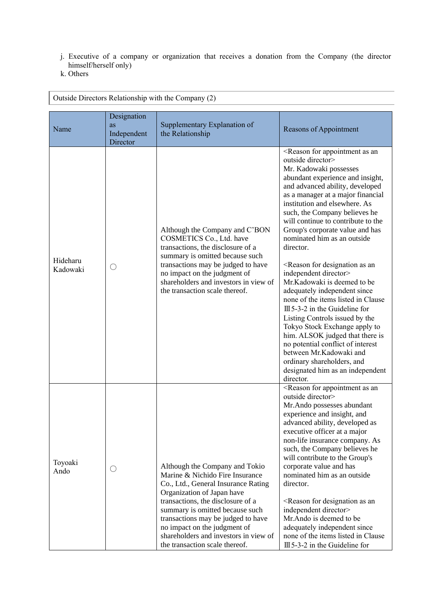- j. Executive of a company or organization that receives a donation from the Company (the director himself/herself only)
- k. Others

| Outside Directors Relationship with the Company (2) |                                              |                                                                                                                                                                                                                                                                                                                                                                 |                                                                                                                                                                                                                                                                                                                                                                                                                                                                                                                                                                                                                                                                                                                                                                                                                                                                                                                           |  |  |  |  |
|-----------------------------------------------------|----------------------------------------------|-----------------------------------------------------------------------------------------------------------------------------------------------------------------------------------------------------------------------------------------------------------------------------------------------------------------------------------------------------------------|---------------------------------------------------------------------------------------------------------------------------------------------------------------------------------------------------------------------------------------------------------------------------------------------------------------------------------------------------------------------------------------------------------------------------------------------------------------------------------------------------------------------------------------------------------------------------------------------------------------------------------------------------------------------------------------------------------------------------------------------------------------------------------------------------------------------------------------------------------------------------------------------------------------------------|--|--|--|--|
| Name                                                | Designation<br>as<br>Independent<br>Director | Supplementary Explanation of<br>the Relationship                                                                                                                                                                                                                                                                                                                | Reasons of Appointment                                                                                                                                                                                                                                                                                                                                                                                                                                                                                                                                                                                                                                                                                                                                                                                                                                                                                                    |  |  |  |  |
| Hideharu<br>Kadowaki                                | $\left(\ \right)$                            | Although the Company and C'BON<br>COSMETICS Co., Ltd. have<br>transactions, the disclosure of a<br>summary is omitted because such<br>transactions may be judged to have<br>no impact on the judgment of<br>shareholders and investors in view of<br>the transaction scale thereof.                                                                             | <reason an<br="" appointment="" as="" for="">outside director&gt;<br/>Mr. Kadowaki possesses<br/>abundant experience and insight,<br/>and advanced ability, developed<br/>as a manager at a major financial<br/>institution and elsewhere. As<br/>such, the Company believes he<br/>will continue to contribute to the<br/>Group's corporate value and has<br/>nominated him as an outside<br/>director.<br/><reason an<br="" as="" designation="" for="">independent director&gt;<br/>Mr.Kadowaki is deemed to be<br/>adequately independent since<br/>none of the items listed in Clause<br/><math>III</math> 5-3-2 in the Guideline for<br/>Listing Controls issued by the<br/>Tokyo Stock Exchange apply to<br/>him. ALSOK judged that there is<br/>no potential conflict of interest<br/>between Mr.Kadowaki and<br/>ordinary shareholders, and<br/>designated him as an independent<br/>director.</reason></reason> |  |  |  |  |
| Toyoaki<br>Ando                                     | O                                            | Although the Company and Tokio<br>Marine & Nichido Fire Insurance<br>Co., Ltd., General Insurance Rating<br>Organization of Japan have<br>transactions, the disclosure of a<br>summary is omitted because such<br>transactions may be judged to have<br>no impact on the judgment of<br>shareholders and investors in view of<br>the transaction scale thereof. | <reason an<br="" appointment="" as="" for="">outside director&gt;<br/>Mr.Ando possesses abundant<br/>experience and insight, and<br/>advanced ability, developed as<br/>executive officer at a major<br/>non-life insurance company. As<br/>such, the Company believes he<br/>will contribute to the Group's<br/>corporate value and has<br/>nominated him as an outside<br/>director.<br/><reason an<br="" as="" designation="" for="">independent director&gt;<br/>Mr.Ando is deemed to be<br/>adequately independent since<br/>none of the items listed in Clause<br/><math>III</math> 5-3-2 in the Guideline for</reason></reason>                                                                                                                                                                                                                                                                                    |  |  |  |  |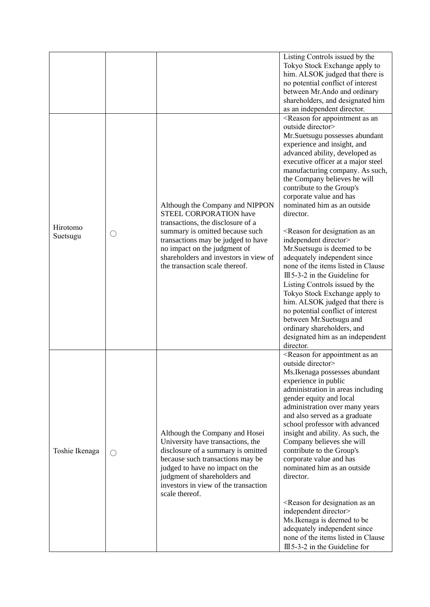|                      |            |                                                                                                                                                                                                                                                                                           | Listing Controls issued by the<br>Tokyo Stock Exchange apply to<br>him. ALSOK judged that there is<br>no potential conflict of interest<br>between Mr.Ando and ordinary<br>shareholders, and designated him<br>as an independent director.                                                                                                                                                                                                                                                                                                                                                                                                                                                                                                                                                                                                                                                                    |
|----------------------|------------|-------------------------------------------------------------------------------------------------------------------------------------------------------------------------------------------------------------------------------------------------------------------------------------------|---------------------------------------------------------------------------------------------------------------------------------------------------------------------------------------------------------------------------------------------------------------------------------------------------------------------------------------------------------------------------------------------------------------------------------------------------------------------------------------------------------------------------------------------------------------------------------------------------------------------------------------------------------------------------------------------------------------------------------------------------------------------------------------------------------------------------------------------------------------------------------------------------------------|
| Hirotomo<br>Suetsugu | $\bigcirc$ | Although the Company and NIPPON<br><b>STEEL CORPORATION have</b><br>transactions, the disclosure of a<br>summary is omitted because such<br>transactions may be judged to have<br>no impact on the judgment of<br>shareholders and investors in view of<br>the transaction scale thereof. | <reason an<br="" appointment="" as="" for="">outside director&gt;<br/>Mr.Suetsugu possesses abundant<br/>experience and insight, and<br/>advanced ability, developed as<br/>executive officer at a major steel<br/>manufacturing company. As such,<br/>the Company believes he will<br/>contribute to the Group's<br/>corporate value and has<br/>nominated him as an outside<br/>director.<br/><reason an<br="" as="" designation="" for="">independent director&gt;<br/>Mr. Suetsugu is deemed to be<br/>adequately independent since<br/>none of the items listed in Clause<br/><math>III</math> 5-3-2 in the Guideline for<br/>Listing Controls issued by the<br/>Tokyo Stock Exchange apply to<br/>him. ALSOK judged that there is<br/>no potential conflict of interest<br/>between Mr.Suetsugu and<br/>ordinary shareholders, and<br/>designated him as an independent<br/>director.</reason></reason> |
| Toshie Ikenaga       | ( )        | Although the Company and Hosei<br>University have transactions, the<br>disclosure of a summary is omitted<br>because such transactions may be<br>judged to have no impact on the<br>judgment of shareholders and<br>investors in view of the transaction<br>scale thereof.                | <reason an<br="" appointment="" as="" for="">outside director&gt;<br/>Ms.Ikenaga possesses abundant<br/>experience in public<br/>administration in areas including<br/>gender equity and local<br/>administration over many years<br/>and also served as a graduate<br/>school professor with advanced<br/>insight and ability. As such, the<br/>Company believes she will<br/>contribute to the Group's<br/>corporate value and has<br/>nominated him as an outside<br/>director.<br/><reason an<br="" as="" designation="" for="">independent director&gt;<br/>Ms. Ikenaga is deemed to be<br/>adequately independent since<br/>none of the items listed in Clause<br/><math>III</math> 5-3-2 in the Guideline for</reason></reason>                                                                                                                                                                        |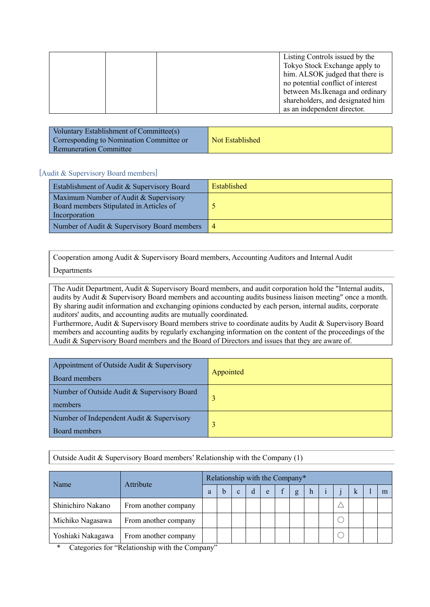|  | Listing Controls issued by the    |
|--|-----------------------------------|
|  | Tokyo Stock Exchange apply to     |
|  | him. ALSOK judged that there is   |
|  | no potential conflict of interest |
|  | between Ms. Ikenaga and ordinary  |
|  | shareholders, and designated him  |
|  | as an independent director.       |

| Voluntary Establishment of Committee(s)<br>Corresponding to Nomination Committee or<br><b>Remuneration Committee</b> | Not Established |
|----------------------------------------------------------------------------------------------------------------------|-----------------|
|----------------------------------------------------------------------------------------------------------------------|-----------------|

#### [Audit & Supervisory Board members]

| Establishment of Audit & Supervisory Board                                                        | Established    |
|---------------------------------------------------------------------------------------------------|----------------|
| Maximum Number of Audit & Supervisory<br>Board members Stipulated in Articles of<br>Incorporation |                |
| Number of Audit & Supervisory Board members                                                       | $\overline{4}$ |

Cooperation among Audit & Supervisory Board members, Accounting Auditors and Internal Audit

#### Departments

The Audit Department, Audit & Supervisory Board members, and audit corporation hold the "Internal audits, audits by Audit & Supervisory Board members and accounting audits business liaison meeting" once a month. By sharing audit information and exchanging opinions conducted by each person, internal audits, corporate auditors' audits, and accounting audits are mutually coordinated.

Furthermore, Audit & Supervisory Board members strive to coordinate audits by Audit & Supervisory Board members and accounting audits by regularly exchanging information on the content of the proceedings of the Audit & Supervisory Board members and the Board of Directors and issues that they are aware of.

| Appointment of Outside Audit & Supervisory<br><b>Board members</b> | Appointed |
|--------------------------------------------------------------------|-----------|
| Number of Outside Audit & Supervisory Board<br>members             |           |
| Number of Independent Audit & Supervisory<br><b>Board members</b>  |           |

### Outside Audit & Supervisory Board members' Relationship with the Company (1)

|                   |                      | Relationship with the Company* |   |              |  |   |  |   |  |  |  |   |
|-------------------|----------------------|--------------------------------|---|--------------|--|---|--|---|--|--|--|---|
| Name              | Attribute            |                                | b | $\mathbf{c}$ |  | e |  | g |  |  |  | m |
| Shinichiro Nakano | From another company |                                |   |              |  |   |  |   |  |  |  |   |
| Michiko Nagasawa  | From another company |                                |   |              |  |   |  |   |  |  |  |   |
| Yoshiaki Nakagawa | From another company |                                |   |              |  |   |  |   |  |  |  |   |

Categories for "Relationship with the Company"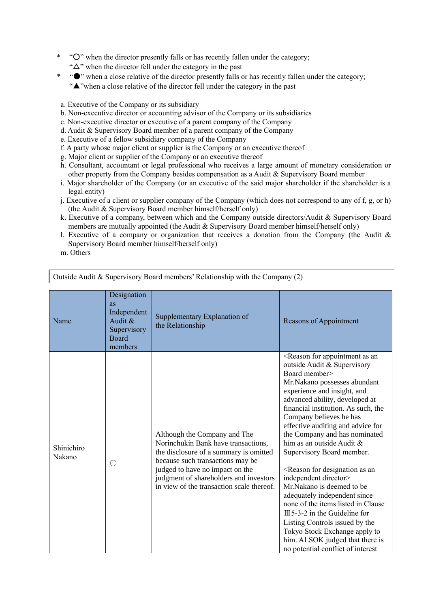- \* "○" when the director presently falls or has recently fallen under the category; " $\Delta$ " when the director fell under the category in the past
- \* "●" when a close relative of the director presently falls or has recently fallen under the category; "▲"when a close relative of the director fell under the category in the past
- a. Executive of the Company or its subsidiary
- b. Non-executive director or accounting advisor of the Company or its subsidiaries
- c. Non-executive director or executive of a parent company of the Company
- d. Audit & Supervisory Board member of a parent company of the Company
- e. Executive of a fellow subsidiary company of the Company
- f. A party whose major client or supplier is the Company or an executive thereof
- g. Major client or supplier of the Company or an executive thereof
- h. Consultant, accountant or legal professional who receives a large amount of monetary consideration or other property from the Company besides compensation as a Audit & Supervisory Board member
- i. Major shareholder of the Company (or an executive of the said major shareholder if the shareholder is a legal entity)
- j. Executive of a client or supplier company of the Company (which does not correspond to any of f, g, or h) (the Audit & Supervisory Board member himself/herself only)
- k. Executive of a company, between which and the Company outside directors/Audit & Supervisory Board members are mutually appointed (the Audit & Supervisory Board member himself/herself only)
- l. Executive of a company or organization that receives a donation from the Company (the Audit & Supervisory Board member himself/herself only)

| m. Others |
|-----------|
|           |

| Name                 | Designation<br>as<br>Independent<br>Audit $\&$<br>Supervisory<br><b>Board</b><br>members | Supplementary Explanation of<br>the Relationship                                                                                                                                                                                                                            | Reasons of Appointment                                                                                                                                                                                                                                                                                                                                                                                                                                                                                                                                                                                                                                                                                                                                                                                             |
|----------------------|------------------------------------------------------------------------------------------|-----------------------------------------------------------------------------------------------------------------------------------------------------------------------------------------------------------------------------------------------------------------------------|--------------------------------------------------------------------------------------------------------------------------------------------------------------------------------------------------------------------------------------------------------------------------------------------------------------------------------------------------------------------------------------------------------------------------------------------------------------------------------------------------------------------------------------------------------------------------------------------------------------------------------------------------------------------------------------------------------------------------------------------------------------------------------------------------------------------|
| Shinichiro<br>Nakano | ( )                                                                                      | Although the Company and The<br>Norinchukin Bank have transactions,<br>the disclosure of a summary is omitted<br>because such transactions may be<br>judged to have no impact on the<br>judgment of shareholders and investors<br>in view of the transaction scale thereof. | <reason an<br="" appointment="" as="" for="">outside Audit &amp; Supervisory<br/>Board member&gt;<br/>Mr.Nakano possesses abundant<br/>experience and insight, and<br/>advanced ability, developed at<br/>financial institution. As such, the<br/>Company believes he has<br/>effective auditing and advice for<br/>the Company and has nominated<br/>him as an outside Audit &amp;<br/>Supervisory Board member.<br/><reason an<br="" as="" designation="" for="">independent director&gt;<br/>Mr.Nakano is deemed to be<br/>adequately independent since<br/>none of the items listed in Clause<br/><math>III</math> 5-3-2 in the Guideline for<br/>Listing Controls issued by the<br/>Tokyo Stock Exchange apply to<br/>him. ALSOK judged that there is<br/>no potential conflict of interest</reason></reason> |

Outside Audit & Supervisory Board members' Relationship with the Company (2)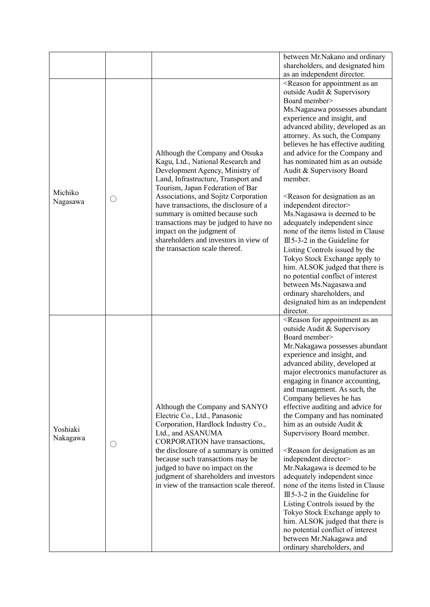|                      |            |                                                                                                                                                                                                                                                                                                                                                                                                                                                          | between Mr.Nakano and ordinary<br>shareholders, and designated him                                                                                                                                                                                                                                                                                                                                                                                                                                                                                                                                                                                                                                                                                                                                                                                                                                                                                        |
|----------------------|------------|----------------------------------------------------------------------------------------------------------------------------------------------------------------------------------------------------------------------------------------------------------------------------------------------------------------------------------------------------------------------------------------------------------------------------------------------------------|-----------------------------------------------------------------------------------------------------------------------------------------------------------------------------------------------------------------------------------------------------------------------------------------------------------------------------------------------------------------------------------------------------------------------------------------------------------------------------------------------------------------------------------------------------------------------------------------------------------------------------------------------------------------------------------------------------------------------------------------------------------------------------------------------------------------------------------------------------------------------------------------------------------------------------------------------------------|
| Michiko<br>Nagasawa  | $\bigcirc$ | Although the Company and Otsuka<br>Kagu, Ltd., National Research and<br>Development Agency, Ministry of<br>Land, Infrastructure, Transport and<br>Tourism, Japan Federation of Bar<br>Associations, and Sojitz Corporation<br>have transactions, the disclosure of a<br>summary is omitted because such<br>transactions may be judged to have no<br>impact on the judgment of<br>shareholders and investors in view of<br>the transaction scale thereof. | as an independent director.<br><reason an<br="" appointment="" as="" for="">outside Audit &amp; Supervisory<br/>Board member&gt;<br/>Ms.Nagasawa possesses abundant<br/>experience and insight, and<br/>advanced ability, developed as an<br/>attorney. As such, the Company<br/>believes he has effective auditing<br/>and advice for the Company and<br/>has nominated him as an outside<br/>Audit &amp; Supervisory Board<br/>member.<br/><reason an<br="" as="" designation="" for="">independent director&gt;<br/>Ms.Nagasawa is deemed to be<br/>adequately independent since<br/>none of the items listed in Clause<br/><math>III</math> 5-3-2 in the Guideline for<br/>Listing Controls issued by the<br/>Tokyo Stock Exchange apply to<br/>him. ALSOK judged that there is<br/>no potential conflict of interest<br/>between Ms.Nagasawa and<br/>ordinary shareholders, and<br/>designated him as an independent<br/>director.</reason></reason> |
| Yoshiaki<br>Nakagawa | $\bigcirc$ | Although the Company and SANYO<br>Electric Co., Ltd., Panasonic<br>Corporation, Hardlock Industry Co.,<br>Ltd., and ASANUMA<br>CORPORATION have transactions,<br>the disclosure of a summary is omitted<br>because such transactions may be<br>judged to have no impact on the<br>judgment of shareholders and investors<br>in view of the transaction scale thereof.                                                                                    | <reason an<br="" appointment="" as="" for="">outside Audit &amp; Supervisory<br/>Board member&gt;<br/>Mr.Nakagawa possesses abundant<br/>experience and insight, and<br/>advanced ability, developed at<br/>major electronics manufacturer as<br/>engaging in finance accounting,<br/>and management. As such, the<br/>Company believes he has<br/>effective auditing and advice for<br/>the Company and has nominated<br/>him as an outside Audit &amp;<br/>Supervisory Board member.<br/><reason an<br="" as="" designation="" for="">independent director&gt;<br/>Mr.Nakagawa is deemed to be<br/>adequately independent since<br/>none of the items listed in Clause<br/><math>III</math> 5-3-2 in the Guideline for<br/>Listing Controls issued by the<br/>Tokyo Stock Exchange apply to<br/>him. ALSOK judged that there is<br/>no potential conflict of interest<br/>between Mr.Nakagawa and<br/>ordinary shareholders, and</reason></reason>      |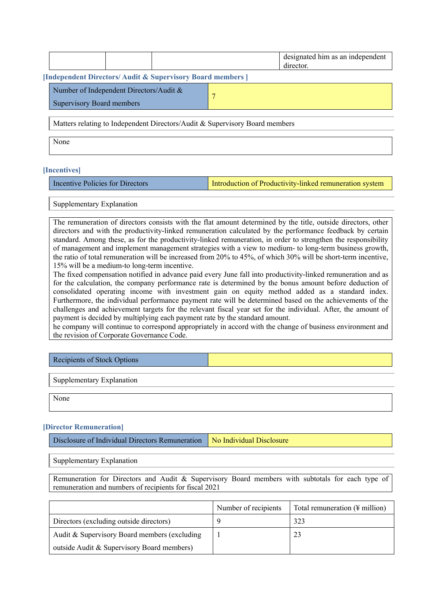|                                                                      | designated him as an independent<br>director. |  |
|----------------------------------------------------------------------|-----------------------------------------------|--|
| <b>[Independent Directors/Audit &amp; Supervisory Board members]</b> |                                               |  |
| Number of Independent Directors/Audit &<br>Supervisory Board members |                                               |  |

Matters relating to Independent Directors/Audit & Supervisory Board members

None

#### **[Incentives]**

Incentive Policies for Directors Introduction of Productivity-linked remuneration system

#### Supplementary Explanation

The remuneration of directors consists with the flat amount determined by the title, outside directors, other directors and with the productivity-linked remuneration calculated by the performance feedback by certain standard. Among these, as for the productivity-linked remuneration, in order to strengthen the responsibility of management and implement management strategies with a view to medium- to long-term business growth, the ratio of total remuneration will be increased from 20% to 45%, of which 30% will be short-term incentive, 15% will be a medium-to long-term incentive.

The fixed compensation notified in advance paid every June fall into productivity-linked remuneration and as for the calculation, the company performance rate is determined by the bonus amount before deduction of consolidated operating income with investment gain on equity method added as a standard index. Furthermore, the individual performance payment rate will be determined based on the achievements of the challenges and achievement targets for the relevant fiscal year set for the individual. After, the amount of payment is decided by multiplying each payment rate by the standard amount.

he company will continue to correspond appropriately in accord with the change of business environment and the revision of Corporate Governance Code.

#### Recipients of Stock Options

Supplementary Explanation

None

#### **[Director Remuneration]**

Disclosure of Individual Directors Remuneration  $\overline{\phantom{a}}$  No Individual Disclosure

Supplementary Explanation

Remuneration for Directors and Audit & Supervisory Board members with subtotals for each type of remuneration and numbers of recipients for fiscal 2021

|                                              | Number of recipients | Total remuneration $(\frac{1}{2})$ million) |
|----------------------------------------------|----------------------|---------------------------------------------|
| Directors (excluding outside directors)      |                      | 323                                         |
| Audit & Supervisory Board members (excluding |                      | 23                                          |
| outside Audit & Supervisory Board members)   |                      |                                             |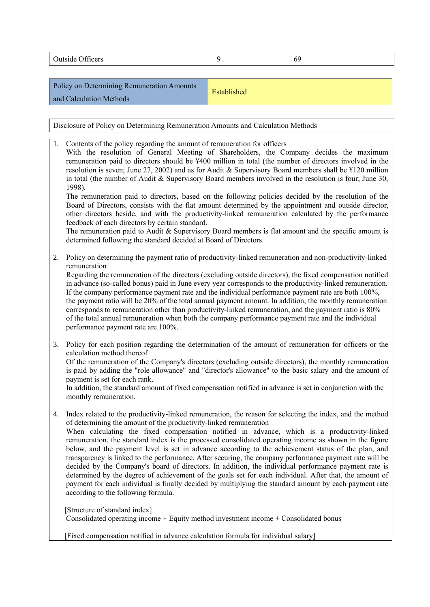| $\sim \infty$<br>-<br>Jutsid<br>ан<br>ັ | -<br>$\sim$<br>$\mathsf{\sigma}\mathsf{v}$ |
|-----------------------------------------|--------------------------------------------|
|                                         |                                            |

| Policy on Determining Remuneration Amounts<br>and Calculation Methods | Established |
|-----------------------------------------------------------------------|-------------|
|                                                                       |             |

Disclosure of Policy on Determining Remuneration Amounts and Calculation Methods

1. Contents of the policy regarding the amount of remuneration for officers With the resolution of General Meeting of Shareholders, the Company decides the maximum remuneration paid to directors should be ¥400 million in total (the number of directors involved in the resolution is seven; June 27, 2002) and as for Audit & Supervisory Board members shall be ¥120 million in total (the number of Audit & Supervisory Board members involved in the resolution is four; June 30, 1998).

The remuneration paid to directors, based on the following policies decided by the resolution of the Board of Directors, consists with the flat amount determined by the appointment and outside director, other directors beside, and with the productivity-linked remuneration calculated by the performance feedback of each directors by certain standard.

The remuneration paid to Audit  $\&$  Supervisory Board members is flat amount and the specific amount is determined following the standard decided at Board of Directors.

2. Policy on determining the payment ratio of productivity-linked remuneration and non-productivity-linked remuneration

Regarding the remuneration of the directors (excluding outside directors), the fixed compensation notified in advance (so-called bonus) paid in June every year corresponds to the productivity-linked remuneration. If the company performance payment rate and the individual performance payment rate are both 100%, the payment ratio will be 20% of the total annual payment amount. In addition, the monthly remuneration corresponds to remuneration other than productivity-linked remuneration, and the payment ratio is 80% of the total annual remuneration when both the company performance payment rate and the individual performance payment rate are 100%.

3. Policy for each position regarding the determination of the amount of remuneration for officers or the calculation method thereof Of the remuneration of the Company's directors (excluding outside directors), the monthly remuneration is paid by adding the "role allowance" and "director's allowance" to the basic salary and the amount of payment is set for each rank.

In addition, the standard amount of fixed compensation notified in advance is set in conjunction with the monthly remuneration.

4. Index related to the productivity-linked remuneration, the reason for selecting the index, and the method of determining the amount of the productivity-linked remuneration When calculating the fixed compensation notified in advance, which is a productivity-linked remuneration, the standard index is the processed consolidated operating income as shown in the figure below, and the payment level is set in advance according to the achievement status of the plan, and transparency is linked to the performance. After securing, the company performance payment rate will be decided by the Company's board of directors. In addition, the individual performance payment rate is determined by the degree of achievement of the goals set for each individual. After that, the amount of payment for each individual is finally decided by multiplying the standard amount by each payment rate according to the following formula.

[Structure of standard index] Consolidated operating income  $+$  Equity method investment income  $+$  Consolidated bonus

[Fixed compensation notified in advance calculation formula for individual salary]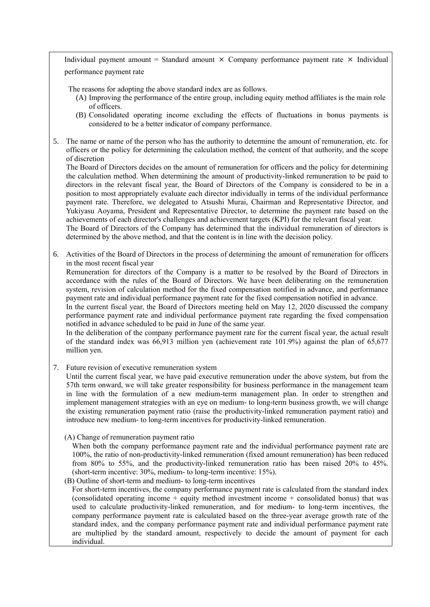Individual payment amount = Standard amount  $\times$  Company performance payment rate  $\times$  Individual performance payment rate

The reasons for adopting the above standard index are as follows.

- (A) Improving the performance of the entire group, including equity method affiliates is the main role of officers.
- (B) Consolidated operating income excluding the effects of fluctuations in bonus payments is considered to be a better indicator of company performance.
- 5. The name or name of the person who has the authority to determine the amount of remuneration, etc. for officers or the policy for determining the calculation method, the content of that authority, and the scope of discretion

The Board of Directors decides on the amount of remuneration for officers and the policy for determining the calculation method. When determining the amount of productivity-linked remuneration to be paid to directors in the relevant fiscal year, the Board of Directors of the Company is considered to be in a position to most appropriately evaluate each director individually in terms of the individual performance payment rate. Therefore, we delegated to Atsushi Murai, Chairman and Representative Director, and Yukiyasu Aoyama, President and Representative Director, to determine the payment rate based on the achievements of each director's challenges and achievement targets (KPI) for the relevant fiscal year. The Board of Directors of the Company has determined that the individual remuneration of directors is determined by the above method, and that the content is in line with the decision policy.

6. Activities of the Board of Directors in the process of determining the amount of remuneration for officers in the most recent fiscal year

Remuneration for directors of the Company is a matter to be resolved by the Board of Directors in accordance with the rules of the Board of Directors. We have been deliberating on the remuneration system, revision of calculation method for the fixed compensation notified in advance, and performance payment rate and individual performance payment rate for the fixed compensation notified in advance.

In the current fiscal year, the Board of Directors meeting held on May 12, 2020 discussed the company performance payment rate and individual performance payment rate regarding the fixed compensation notified in advance scheduled to be paid in June of the same year.

In the deliberation of the company performance payment rate for the current fiscal year, the actual result of the standard index was 66,913 million yen (achievement rate 101.9%) against the plan of 65,677 million yen.

7. Future revision of executive remuneration system

Until the current fiscal year, we have paid executive remuneration under the above system, but from the 57th term onward, we will take greater responsibility for business performance in the management team in line with the formulation of a new medium-term management plan. In order to strengthen and implement management strategies with an eye on medium- to long-term business growth, we will change the existing remuneration payment ratio (raise the productivity-linked remuneration payment ratio) and introduce new medium- to long-term incentives for productivity-linked remuneration.

(A) Change of remuneration payment ratio

When both the company performance payment rate and the individual performance payment rate are 100%, the ratio of non-productivity-linked remuneration (fixed amount remuneration) has been reduced from 80% to 55%, and the productivity-linked remuneration ratio has been raised 20% to 45%. (short-term incentive: 30%, medium- to long-term incentive: 15%).

### (B) Outline of short-term and medium- to long-term incentives

For short-term incentives, the company performance payment rate is calculated from the standard index (consolidated operating income + equity method investment income + consolidated bonus) that was used to calculate productivity-linked remuneration, and for medium- to long-term incentives, the company performance payment rate is calculated based on the three-year average growth rate of the standard index, and the company performance payment rate and individual performance payment rate are multiplied by the standard amount, respectively to decide the amount of payment for each individual.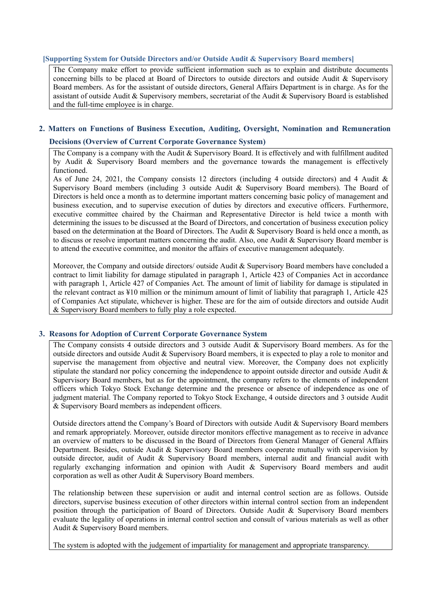#### **[Supporting System for Outside Directors and/or Outside Audit & Supervisory Board members]**

The Company make effort to provide sufficient information such as to explain and distribute documents concerning bills to be placed at Board of Directors to outside directors and outside Audit & Supervisory Board members. As for the assistant of outside directors, General Affairs Department is in charge. As for the assistant of outside Audit & Supervisory members, secretariat of the Audit & Supervisory Board is established and the full-time employee is in charge.

# **2. Matters on Functions of Business Execution, Auditing, Oversight, Nomination and Remuneration**

## **Decisions (Overview of Current Corporate Governance System)**

The Company is a company with the Audit & Supervisory Board. It is effectively and with fulfillment audited by Audit & Supervisory Board members and the governance towards the management is effectively functioned.

As of June 24, 2021, the Company consists 12 directors (including 4 outside directors) and 4 Audit & Supervisory Board members (including 3 outside Audit & Supervisory Board members). The Board of Directors is held once a month as to determine important matters concerning basic policy of management and business execution, and to supervise execution of duties by directors and executive officers. Furthermore, executive committee chaired by the Chairman and Representative Director is held twice a month with determining the issues to be discussed at the Board of Directors, and concertation of business execution policy based on the determination at the Board of Directors. The Audit & Supervisory Board is held once a month, as to discuss or resolve important matters concerning the audit. Also, one Audit & Supervisory Board member is to attend the executive committee, and monitor the affairs of executive management adequately.

Moreover, the Company and outside directors/ outside Audit & Supervisory Board members have concluded a contract to limit liability for damage stipulated in paragraph 1, Article 423 of Companies Act in accordance with paragraph 1, Article 427 of Companies Act. The amount of limit of liability for damage is stipulated in the relevant contract as ¥10 million or the minimum amount of limit of liability that paragraph 1, Article 425 of Companies Act stipulate, whichever is higher. These are for the aim of outside directors and outside Audit & Supervisory Board members to fully play a role expected.

#### **3. Reasons for Adoption of Current Corporate Governance System**

The Company consists 4 outside directors and 3 outside Audit & Supervisory Board members. As for the outside directors and outside Audit & Supervisory Board members, it is expected to play a role to monitor and supervise the management from objective and neutral view. Moreover, the Company does not explicitly stipulate the standard nor policy concerning the independence to appoint outside director and outside Audit & Supervisory Board members, but as for the appointment, the company refers to the elements of independent officers which Tokyo Stock Exchange determine and the presence or absence of independence as one of judgment material. The Company reported to Tokyo Stock Exchange, 4 outside directors and 3 outside Audit & Supervisory Board members as independent officers.

Outside directors attend the Company's Board of Directors with outside Audit & Supervisory Board members and remark appropriately. Moreover, outside director monitors effective management as to receive in advance an overview of matters to be discussed in the Board of Directors from General Manager of General Affairs Department. Besides, outside Audit & Supervisory Board members cooperate mutually with supervision by outside director, audit of Audit & Supervisory Board members, internal audit and financial audit with regularly exchanging information and opinion with Audit & Supervisory Board members and audit corporation as well as other Audit & Supervisory Board members.

The relationship between these supervision or audit and internal control section are as follows. Outside directors, supervise business execution of other directors within internal control section from an independent position through the participation of Board of Directors. Outside Audit & Supervisory Board members evaluate the legality of operations in internal control section and consult of various materials as well as other Audit & Supervisory Board members.

The system is adopted with the judgement of impartiality for management and appropriate transparency.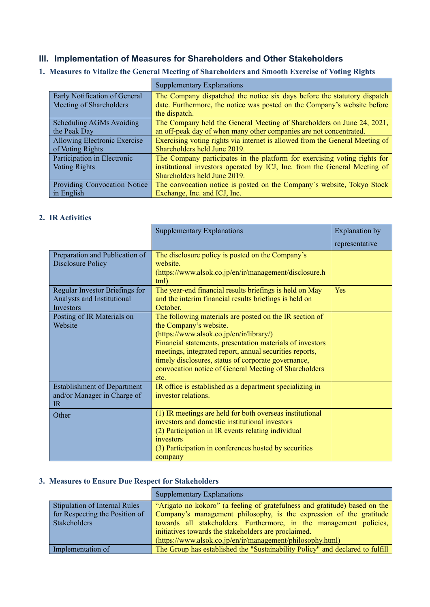# **III. Implementation of Measures for Shareholders and Other Stakeholders**

**1. Measures to Vitalize the General Meeting of Shareholders and Smooth Exercise of Voting Rights**

|                                     | <b>Supplementary Explanations</b>                                            |
|-------------------------------------|------------------------------------------------------------------------------|
| Early Notification of General       | The Company dispatched the notice six days before the statutory dispatch     |
| Meeting of Shareholders             | date. Furthermore, the notice was posted on the Company's website before     |
|                                     | the dispatch.                                                                |
| Scheduling AGMs Avoiding            | The Company held the General Meeting of Shareholders on June 24, 2021,       |
| the Peak Day                        | an off-peak day of when many other companies are not concentrated.           |
| <b>Allowing Electronic Exercise</b> | Exercising voting rights via internet is allowed from the General Meeting of |
| of Voting Rights                    | Shareholders held June 2019.                                                 |
| Participation in Electronic         | The Company participates in the platform for exercising voting rights for    |
| <b>Voting Rights</b>                | institutional investors operated by ICJ, Inc. from the General Meeting of    |
|                                     | Shareholders held June 2019.                                                 |
| Providing Convocation Notice        | The convocation notice is posted on the Company's website, Tokyo Stock       |
| in English                          | Exchange, Inc. and ICJ, Inc.                                                 |

## **2. IR Activities**

|                                                                                  | <b>Supplementary Explanations</b>                                                                                                                                                                                                                                                                                                                                             | <b>Explanation</b> by |
|----------------------------------------------------------------------------------|-------------------------------------------------------------------------------------------------------------------------------------------------------------------------------------------------------------------------------------------------------------------------------------------------------------------------------------------------------------------------------|-----------------------|
|                                                                                  |                                                                                                                                                                                                                                                                                                                                                                               | representative        |
| Preparation and Publication of<br><b>Disclosure Policy</b>                       | The disclosure policy is posted on the Company's<br>website.<br>(https://www.alsok.co.jp/en/ir/management/disclosure.h<br>tml)                                                                                                                                                                                                                                                |                       |
| Regular Investor Briefings for<br>Analysts and Institutional<br><b>Investors</b> | The year-end financial results briefings is held on May<br>and the interim financial results briefings is held on<br>October.                                                                                                                                                                                                                                                 | Yes                   |
| Posting of IR Materials on<br>Website                                            | The following materials are posted on the IR section of<br>the Company's website.<br>(https://www.alsok.co.jp/en/ir/library/)<br>Financial statements, presentation materials of investors<br>meetings, integrated report, annual securities reports,<br>timely disclosures, status of corporate governance,<br>convocation notice of General Meeting of Shareholders<br>etc. |                       |
| <b>Establishment of Department</b><br>and/or Manager in Charge of<br><b>IR</b>   | IR office is established as a department specializing in<br>investor relations.                                                                                                                                                                                                                                                                                               |                       |
| Other                                                                            | (1) IR meetings are held for both overseas institutional<br>investors and domestic institutional investors<br>(2) Participation in IR events relating individual<br>investors<br>(3) Participation in conferences hosted by securities<br>company                                                                                                                             |                       |

# **3. Measures to Ensure Due Respect for Stakeholders**

|                                | Supplementary Explanations                                                    |  |  |
|--------------------------------|-------------------------------------------------------------------------------|--|--|
| Stipulation of Internal Rules  | "Arigato no kokoro" (a feeling of gratefulness and gratitude) based on the    |  |  |
| for Respecting the Position of | Company's management philosophy, is the expression of the gratitude           |  |  |
| Stakeholders                   | towards all stakeholders. Furthermore, in the management policies,            |  |  |
|                                | initiatives towards the stakeholders are proclaimed.                          |  |  |
|                                | (https://www.alsok.co.jp/en/ir/management/philosophy.html)                    |  |  |
| Implementation of              | The Group has established the "Sustainability Policy" and declared to fulfill |  |  |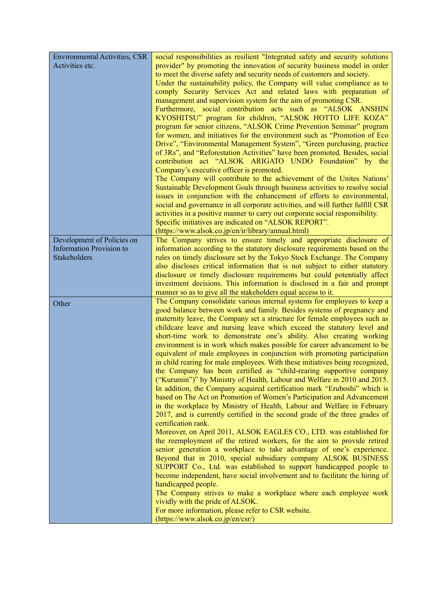| <b>Environmental Activities, CSR</b><br>Activities etc.                       | social responsibilities as resilient "Integrated safety and security solutions<br>provider" by promoting the innovation of security business model in order<br>to meet the diverse safety and security needs of customers and society.<br>Under the sustainability policy, the Company will value compliance as to<br>comply Security Services Act and related laws with preparation of<br>management and supervision system for the aim of promoting CSR.<br>Furthermore, social contribution acts such as "ALSOK ANSHIN<br>KYOSHITSU" program for children, "ALSOK HOTTO LIFE KOZA"<br>program for senior citizens, "ALSOK Crime Prevention Seminar" program<br>for women, and initiatives for the environment such as "Promotion of Eco<br>Drive", "Environmental Management System", "Green purchasing, practice<br>of 3Rs", and "Reforestation Activities" have been promoted. Besides, social<br>contribution act "ALSOK ARIGATO UNDO Foundation" by the<br>Company's executive officer is promoted.<br>The Company will contribute to the achievement of the Unites Nations'<br>Sustainable Development Goals through business activities to resolve social<br>issues in conjunction with the enhancement of efforts to environmental,<br>social and governance in all corporate activities, and will further fulfill CSR<br>activities in a positive manner to carry out corporate social responsibility.                                                                                                                                                                                                                                                                                                                                                                             |  |
|-------------------------------------------------------------------------------|-----------------------------------------------------------------------------------------------------------------------------------------------------------------------------------------------------------------------------------------------------------------------------------------------------------------------------------------------------------------------------------------------------------------------------------------------------------------------------------------------------------------------------------------------------------------------------------------------------------------------------------------------------------------------------------------------------------------------------------------------------------------------------------------------------------------------------------------------------------------------------------------------------------------------------------------------------------------------------------------------------------------------------------------------------------------------------------------------------------------------------------------------------------------------------------------------------------------------------------------------------------------------------------------------------------------------------------------------------------------------------------------------------------------------------------------------------------------------------------------------------------------------------------------------------------------------------------------------------------------------------------------------------------------------------------------------------------------------------------------------------------------------------------------------|--|
|                                                                               | Specific initiatives are indicated on "ALSOK REPORT".<br>(https://www.alsok.co.jp/en/ir/library/annual.html)                                                                                                                                                                                                                                                                                                                                                                                                                                                                                                                                                                                                                                                                                                                                                                                                                                                                                                                                                                                                                                                                                                                                                                                                                                                                                                                                                                                                                                                                                                                                                                                                                                                                                  |  |
| Development of Policies on<br><b>Information Provision to</b><br>Stakeholders | The Company strives to ensure timely and appropriate disclosure of<br>information according to the statutory disclosure requirements based on the<br>rules on timely disclosure set by the Tokyo Stock Exchange. The Company<br>also discloses critical information that is not subject to either statutory<br>disclosure or timely disclosure requirements but could potentially affect<br>investment decisions. This information is disclosed in a fair and prompt<br>manner so as to give all the stakeholders equal access to it.                                                                                                                                                                                                                                                                                                                                                                                                                                                                                                                                                                                                                                                                                                                                                                                                                                                                                                                                                                                                                                                                                                                                                                                                                                                         |  |
| Other                                                                         | The Company consolidate various internal systems for employees to keep a<br>good balance between work and family. Besides systems of pregnancy and<br>maternity leave, the Company set a structure for female employees such as<br>childcare leave and nursing leave which exceed the statutory level and<br>short-time work to demonstrate one's ability. Also creating working<br>environment is in work which makes possible for career advancement to be<br>equivalent of male employees in conjunction with promoting participation<br>in child rearing for male employees. With these initiatives being recognized,<br>the Company has been certified as "child-rearing supportive company<br>("Kurumin")" by Ministry of Health, Labour and Welfare in 2010 and 2015.<br>In addition, the Company acquired certification mark "Eruboshi" which is<br>based on The Act on Promotion of Women's Participation and Advancement<br>in the workplace by Ministry of Health, Labour and Welfare in February<br>2017, and is currently certified in the second grade of the three grades of<br>certification rank.<br>Moreover, on April 2011, ALSOK EAGLES CO., LTD. was established for<br>the reemployment of the retired workers, for the aim to provide retired<br>senior generation a workplace to take advantage of one's experience.<br>Beyond that in 2010, special subsidiary company ALSOK BUSINESS<br>SUPPORT Co., Ltd. was established to support handicapped people to<br>become independent, have social involvement and to facilitate the hiring of<br>handicapped people.<br>The Company strives to make a workplace where each employee work<br>vividly with the pride of ALSOK.<br>For more information, please refer to CSR website.<br>(https://www.alsok.co.jp/en/csr/) |  |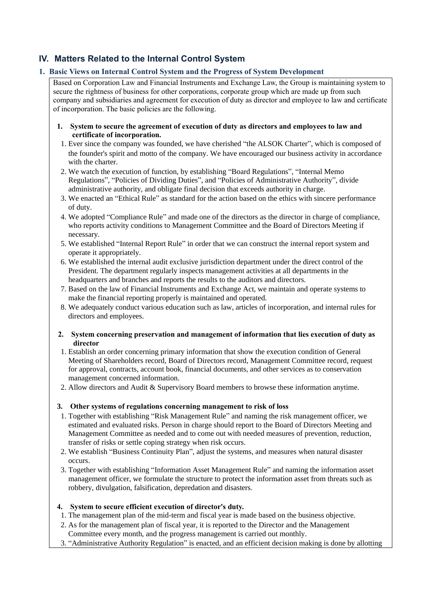# **IV. Matters Related to the Internal Control System**

# **1. Basic Views on Internal Control System and the Progress of System Development**

Based on Corporation Law and Financial Instruments and Exchange Law, the Group is maintaining system to secure the rightness of business for other corporations, corporate group which are made up from such company and subsidiaries and agreement for execution of duty as director and employee to law and certificate of incorporation. The basic policies are the following.

- **1. System to secure the agreement of execution of duty as directors and employees to law and certificate of incorporation.**
- 1. Ever since the company was founded, we have cherished "the ALSOK Charter", which is composed of the founder's spirit and motto of the company. We have encouraged our business activity in accordance with the charter.
- 2. We watch the execution of function, by establishing "Board Regulations", "Internal Memo Regulations", "Policies of Dividing Duties", and "Policies of Administrative Authority", divide administrative authority, and obligate final decision that exceeds authority in charge.
- 3. We enacted an "Ethical Rule" as standard for the action based on the ethics with sincere performance of duty.
- 4. We adopted "Compliance Rule" and made one of the directors as the director in charge of compliance, who reports activity conditions to Management Committee and the Board of Directors Meeting if necessary.
- 5. We established "Internal Report Rule" in order that we can construct the internal report system and operate it appropriately.
- 6. We established the internal audit exclusive jurisdiction department under the direct control of the President. The department regularly inspects management activities at all departments in the headquarters and branches and reports the results to the auditors and directors.
- 7. Based on the law of Financial Instruments and Exchange Act, we maintain and operate systems to make the financial reporting properly is maintained and operated.
- 8. We adequately conduct various education such as law, articles of incorporation, and internal rules for directors and employees.
- **2. System concerning preservation and management of information that lies execution of duty as director**
- 1. Establish an order concerning primary information that show the execution condition of General Meeting of Shareholders record, Board of Directors record, Management Committee record, request for approval, contracts, account book, financial documents, and other services as to conservation management concerned information.
- 2. Allow directors and Audit & Supervisory Board members to browse these information anytime.

#### **3. Other systems of regulations concerning management to risk of loss**

- 1. Together with establishing "Risk Management Rule" and naming the risk management officer, we estimated and evaluated risks. Person in charge should report to the Board of Directors Meeting and Management Committee as needed and to come out with needed measures of prevention, reduction, transfer of risks or settle coping strategy when risk occurs.
- 2. We establish "Business Continuity Plan", adjust the systems, and measures when natural disaster occurs.
- 3. Together with establishing "Information Asset Management Rule" and naming the information asset management officer, we formulate the structure to protect the information asset from threats such as robbery, divulgation, falsification, depredation and disasters.

#### **4. System to secure efficient execution of director's duty.**

- 1. The management plan of the mid-term and fiscal year is made based on the business objective.
- 2. As for the management plan of fiscal year, it is reported to the Director and the Management Committee every month, and the progress management is carried out monthly.
- 3. "Administrative Authority Regulation" is enacted, and an efficient decision making is done by allotting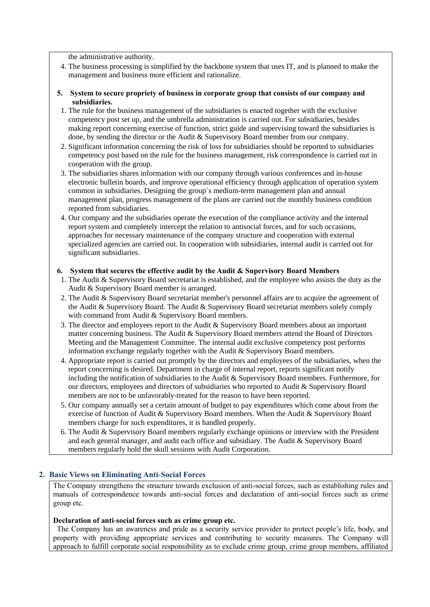the administrative authority.

- 4. The business processing is simplified by the backbone system that uses IT, and is planned to make the management and business more efficient and rationalize.
- **5. System to secure propriety of business in corporate group that consists of our company and subsidiaries.**
- 1. The rule for the business management of the subsidiaries is enacted together with the exclusive competency post set up, and the umbrella administration is carried out. For subsidiaries, besides making report concerning exercise of function, strict guide and supervising toward the subsidiaries is done, by sending the director or the Audit & Supervisory Board member from our company.
- 2. Significant information concerning the risk of loss for subsidiaries should be reported to subsidiaries competency post based on the rule for the business management, risk correspondence is carried out in cooperation with the group.
- 3. The subsidiaries shares information with our company through various conferences and in-house electronic bulletin boards, and improve operational efficiency through application of operation system common in subsidiaries. Designing the group`s medium-term management plan and annual management plan, progress management of the plans are carried out the monthly business condition reported from subsidiaries.
- 4. Our company and the subsidiaries operate the execution of the compliance activity and the internal report system and completely intercept the relation to antisocial forces, and for such occasions, approaches for necessary maintenance of the company structure and cooperation with external specialized agencies are carried out. In cooperation with subsidiaries, internal audit is carried out for significant subsidiaries.

#### **6. System that secures the effective audit by the Audit & Supervisory Board Members**

- 1. The Audit & Supervisory Board secretariat is established, and the employee who assists the duty as the Audit & Supervisory Board member is arranged.
- 2. The Audit & Supervisory Board secretariat member's personnel affairs are to acquire the agreement of the Audit & Supervisory Board. The Audit & Supervisory Board secretariat members solely comply with command from Audit & Supervisory Board members.
- 3. The director and employees report to the Audit & Supervisory Board members about an important matter concerning business. The Audit & Supervisory Board members attend the Board of Directors Meeting and the Management Committee. The internal audit exclusive competency post performs information exchange regularly together with the Audit & Supervisory Board members.
- 4. Appropriate report is carried out promptly by the directors and employees of the subsidiaries, when the report concerning is desired. Department in charge of internal report, reports significant notify including the notification of subsidiaries to the Audit & Supervisory Board members. Furthermore, for our directors, employees and directors of subsidiaries who reported to Audit & Supervisory Board members are not to be unfavorably-treated for the reason to have been reported.
- 5. Our company annually set a certain amount of budget to pay expenditures which come about from the exercise of function of Audit & Supervisory Board members. When the Audit & Supervisory Board members charge for such expenditures, it is handled properly.
- 6. The Audit & Supervisory Board members regularly exchange opinions or interview with the President and each general manager, and audit each office and subsidiary. The Audit & Supervisory Board members regularly hold the skull sessions with Audit Corporation.

#### **2. Basic Views on Eliminating Anti-Social Forces**

The Company strengthens the structure towards exclusion of anti-social forces, such as establishing rules and manuals of correspondence towards anti-social forces and declaration of anti-social forces such as crime group etc.

#### **Declaration of anti-social forces such as crime group etc.**

The Company has an awareness and pride as a security service provider to protect people's life, body, and property with providing appropriate services and contributing to security measures. The Company will approach to fulfill corporate social responsibility as to exclude crime group, crime group members, affiliated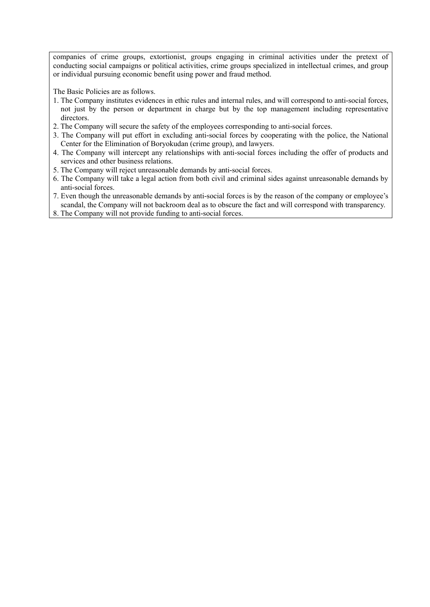companies of crime groups, extortionist, groups engaging in criminal activities under the pretext of conducting social campaigns or political activities, crime groups specialized in intellectual crimes, and group or individual pursuing economic benefit using power and fraud method.

The Basic Policies are as follows.

- 1. The Company institutes evidences in ethic rules and internal rules, and will correspond to anti-social forces, not just by the person or department in charge but by the top management including representative directors.
- 2. The Company will secure the safety of the employees corresponding to anti-social forces.
- 3. The Company will put effort in excluding anti-social forces by cooperating with the police, the National Center for the Elimination of Boryokudan (crime group), and lawyers.
- 4. The Company will intercept any relationships with anti-social forces including the offer of products and services and other business relations.
- 5. The Company will reject unreasonable demands by anti-social forces.
- 6. The Company will take a legal action from both civil and criminal sides against unreasonable demands by anti-social forces.
- 7. Even though the unreasonable demands by anti-social forces is by the reason of the company or employee's scandal, the Company will not backroom deal as to obscure the fact and will correspond with transparency.
- 8. The Company will not provide funding to anti-social forces.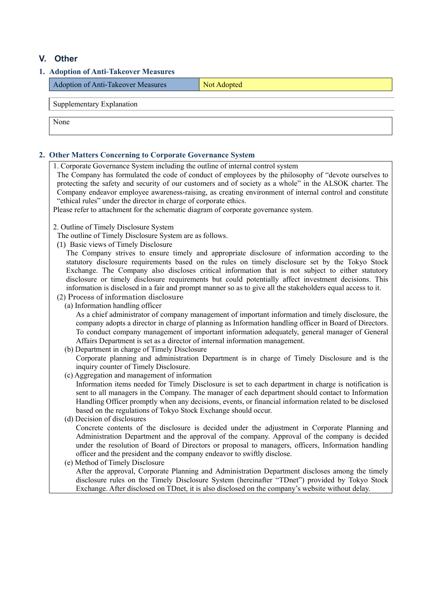# **V. Other**

| 1. Adoption of Anti-Takeover Measures     |             |  |
|-------------------------------------------|-------------|--|
| <b>Adoption of Anti-Takeover Measures</b> | Not Adopted |  |
| Supplementary Explanation                 |             |  |
| None                                      |             |  |

# **2. Other Matters Concerning to Corporate Governance System**

1. Corporate Governance System including the outline of internal control system

The Company has formulated the code of conduct of employees by the philosophy of "devote ourselves to protecting the safety and security of our customers and of society as a whole" in the ALSOK charter. The Company endeavor employee awareness-raising, as creating environment of internal control and constitute "ethical rules" under the director in charge of corporate ethics.

Please refer to attachment for the schematic diagram of corporate governance system.

# 2. Outline of Timely Disclosure System

The outline of Timely Disclosure System are as follows.

(1) Basic views of Timely Disclosure

The Company strives to ensure timely and appropriate disclosure of information according to the statutory disclosure requirements based on the rules on timely disclosure set by the Tokyo Stock Exchange. The Company also discloses critical information that is not subject to either statutory disclosure or timely disclosure requirements but could potentially affect investment decisions. This information is disclosed in a fair and prompt manner so as to give all the stakeholders equal access to it.

- (2) Process of information disclosure
	- (a) Information handling officer

 As a chief administrator of company management of important information and timely disclosure, the company adopts a director in charge of planning as Information handling officer in Board of Directors. To conduct company management of important information adequately, general manager of General Affairs Department is set as a director of internal information management.

(b) Department in charge of Timely Disclosure

 Corporate planning and administration Department is in charge of Timely Disclosure and is the inquiry counter of Timely Disclosure.

(c) Aggregation and management of information

 Information items needed for Timely Disclosure is set to each department in charge is notification is sent to all managers in the Company. The manager of each department should contact to Information Handling Officer promptly when any decisions, events, or financial information related to be disclosed based on the regulations of Tokyo Stock Exchange should occur.

(d) Decision of disclosures

 Concrete contents of the disclosure is decided under the adjustment in Corporate Planning and Administration Department and the approval of the company. Approval of the company is decided under the resolution of Board of Directors or proposal to managers, officers, Information handling officer and the president and the company endeavor to swiftly disclose.

(e) Method of Timely Disclosure

 After the approval, Corporate Planning and Administration Department discloses among the timely disclosure rules on the Timely Disclosure System (hereinafter "TDnet") provided by Tokyo Stock Exchange. After disclosed on TDnet, it is also disclosed on the company's website without delay.